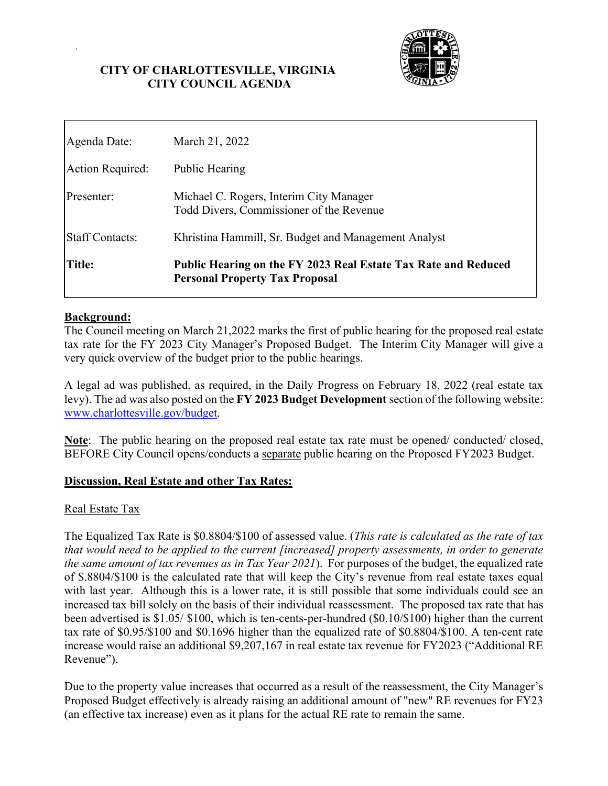## **CITY OF CHARLOTTESVILLE, VIRGINIA CITY COUNCIL AGENDA**



| <b>Staff Contacts:</b><br><b>Title:</b> | Khristina Hammill, Sr. Budget and Management Analyst<br>Public Hearing on the FY 2023 Real Estate Tax Rate and Reduced |
|-----------------------------------------|------------------------------------------------------------------------------------------------------------------------|
| Presenter:                              | Michael C. Rogers, Interim City Manager<br>Todd Divers, Commissioner of the Revenue                                    |
| Action Required:                        | Public Hearing                                                                                                         |
| Agenda Date:                            | March 21, 2022                                                                                                         |

### **Background:**

The Council meeting on March 21,2022 marks the first of public hearing for the proposed real estate tax rate for the FY 2023 City Manager's Proposed Budget. The Interim City Manager will give a very quick overview of the budget prior to the public hearings.

A legal ad was published, as required, in the Daily Progress on February 18, 2022 (real estate tax levy). The ad was also posted on the **FY 2023 Budget Development** section of the following website: www.charlottesville.gov/budget.

**Note**: The public hearing on the proposed real estate tax rate must be opened/ conducted/ closed, BEFORE City Council opens/conducts a separate public hearing on the Proposed FY2023 Budget.

#### **Discussion, Real Estate and other Tax Rates:**

#### Real Estate Tax

The Equalized Tax Rate is \$0.8804/\$100 of assessed value. (*This rate is calculated as the rate of tax that would need to be applied to the current [increased] property assessments, in order to generate the same amount of tax revenues as in Tax Year 2021*). For purposes of the budget, the equalized rate of \$.8804/\$100 is the calculated rate that will keep the City's revenue from real estate taxes equal with last year. Although this is a lower rate, it is still possible that some individuals could see an increased tax bill solely on the basis of their individual reassessment. The proposed tax rate that has been advertised is \$1.05/ \$100, which is ten-cents-per-hundred (\$0.10/\$100) higher than the current tax rate of \$0.95/\$100 and \$0.1696 higher than the equalized rate of \$0.8804/\$100. A ten-cent rate increase would raise an additional \$9,207,167 in real estate tax revenue for FY2023 ("Additional RE Revenue").

Due to the property value increases that occurred as a result of the reassessment, the City Manager's Proposed Budget effectively is already raising an additional amount of "new" RE revenues for FY23 (an effective tax increase) even as it plans for the actual RE rate to remain the same.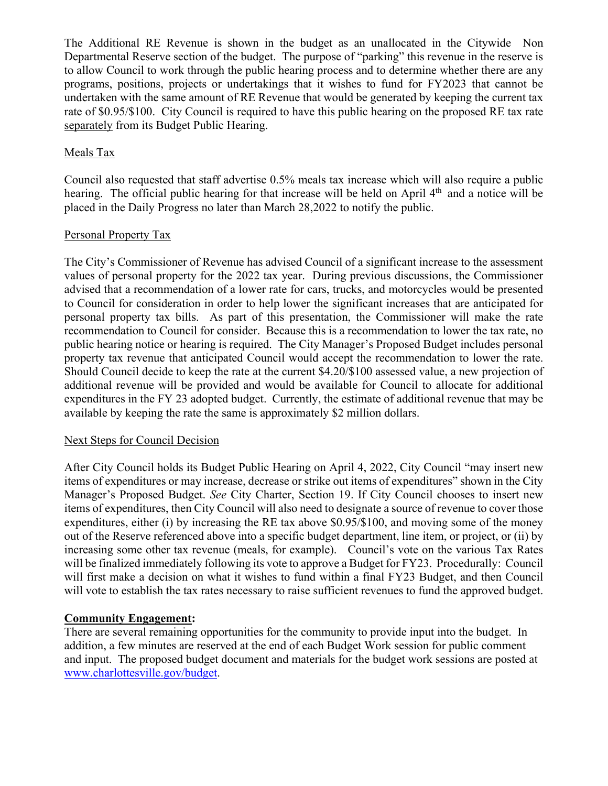The Additional RE Revenue is shown in the budget as an unallocated in the Citywide Non Departmental Reserve section of the budget. The purpose of "parking" this revenue in the reserve is to allow Council to work through the public hearing process and to determine whether there are any programs, positions, projects or undertakings that it wishes to fund for FY2023 that cannot be undertaken with the same amount of RE Revenue that would be generated by keeping the current tax rate of \$0.95/\$100. City Council is required to have this public hearing on the proposed RE tax rate separately from its Budget Public Hearing.

# Meals Tax

Council also requested that staff advertise 0.5% meals tax increase which will also require a public hearing. The official public hearing for that increase will be held on April  $4<sup>th</sup>$  and a notice will be placed in the Daily Progress no later than March 28,2022 to notify the public.

# Personal Property Tax

The City's Commissioner of Revenue has advised Council of a significant increase to the assessment values of personal property for the 2022 tax year. During previous discussions, the Commissioner advised that a recommendation of a lower rate for cars, trucks, and motorcycles would be presented to Council for consideration in order to help lower the significant increases that are anticipated for personal property tax bills. As part of this presentation, the Commissioner will make the rate recommendation to Council for consider. Because this is a recommendation to lower the tax rate, no public hearing notice or hearing is required. The City Manager's Proposed Budget includes personal property tax revenue that anticipated Council would accept the recommendation to lower the rate. Should Council decide to keep the rate at the current \$4.20/\$100 assessed value, a new projection of additional revenue will be provided and would be available for Council to allocate for additional expenditures in the FY 23 adopted budget. Currently, the estimate of additional revenue that may be available by keeping the rate the same is approximately \$2 million dollars.

# Next Steps for Council Decision

After City Council holds its Budget Public Hearing on April 4, 2022, City Council "may insert new items of expenditures or may increase, decrease or strike out items of expenditures" shown in the City Manager's Proposed Budget. *See* City Charter, Section 19. If City Council chooses to insert new items of expenditures, then City Council will also need to designate a source of revenue to cover those expenditures, either (i) by increasing the RE tax above \$0.95/\$100, and moving some of the money out of the Reserve referenced above into a specific budget department, line item, or project, or (ii) by increasing some other tax revenue (meals, for example). Council's vote on the various Tax Rates will be finalized immediately following its vote to approve a Budget for FY23. Procedurally: Council will first make a decision on what it wishes to fund within a final FY23 Budget, and then Council will vote to establish the tax rates necessary to raise sufficient revenues to fund the approved budget.

# **Community Engagement:**

There are several remaining opportunities for the community to provide input into the budget. In addition, a few minutes are reserved at the end of each Budget Work session for public comment and input. The proposed budget document and materials for the budget work sessions are posted at www.charlottesville.gov/budget.